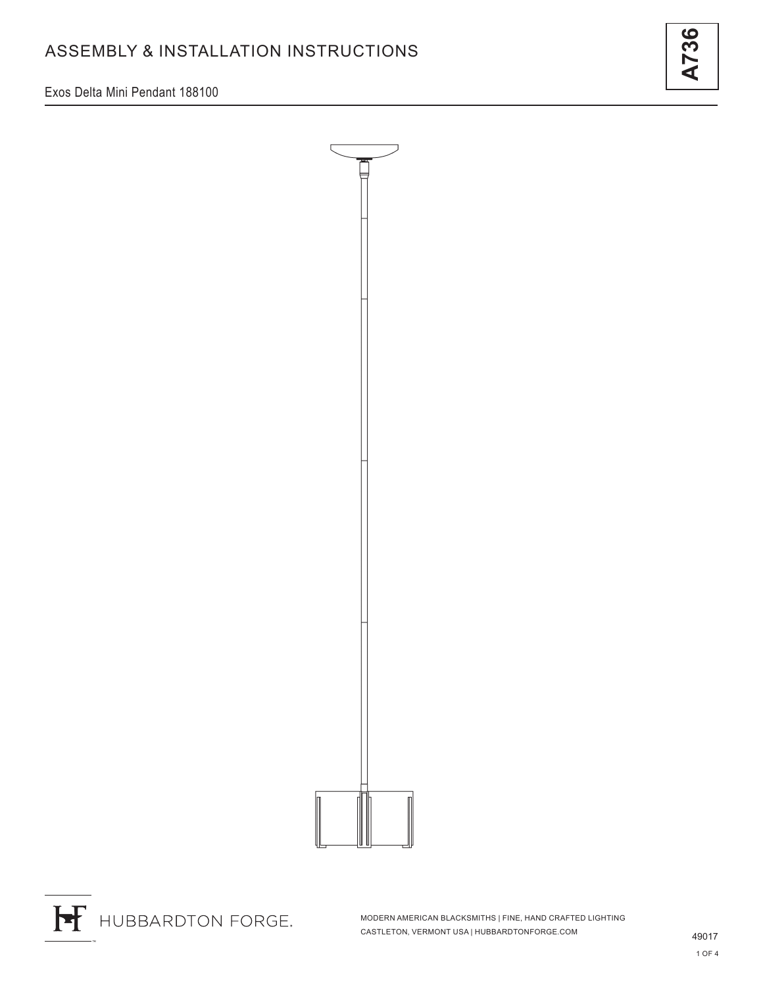Exos Delta Mini Pendant 188100





MODERN AMERICAN BLACKSMITHS | FINE, HAND CRAFTED LIGHTING CASTLETON, VERMONT USA | HUBBARDTONFORGE.COM

36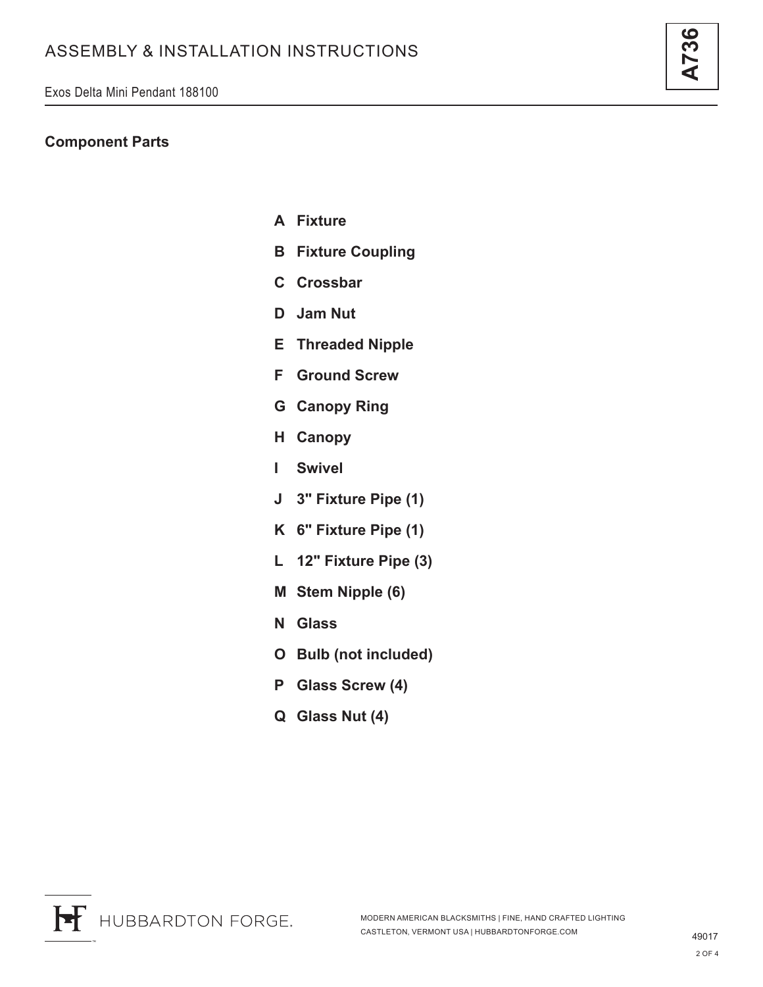## **Component Parts**

- **A Fixture**
- **B Fixture Coupling**
- **C Crossbar**
- **D Jam Nut**
- **E Threaded Nipple**
- **F Ground Screw**
- **G Canopy Ring**
- **H Canopy**
- **I Swivel**
- **J 3" Fixture Pipe (1)**
- **K 6" Fixture Pipe (1)**
- **L 12" Fixture Pipe (3)**
- **M Stem Nipple (6)**
- **N Glass**
- **O Bulb (not included)**
- **P Glass Screw (4)**
- **Q Glass Nut (4)**

**A736**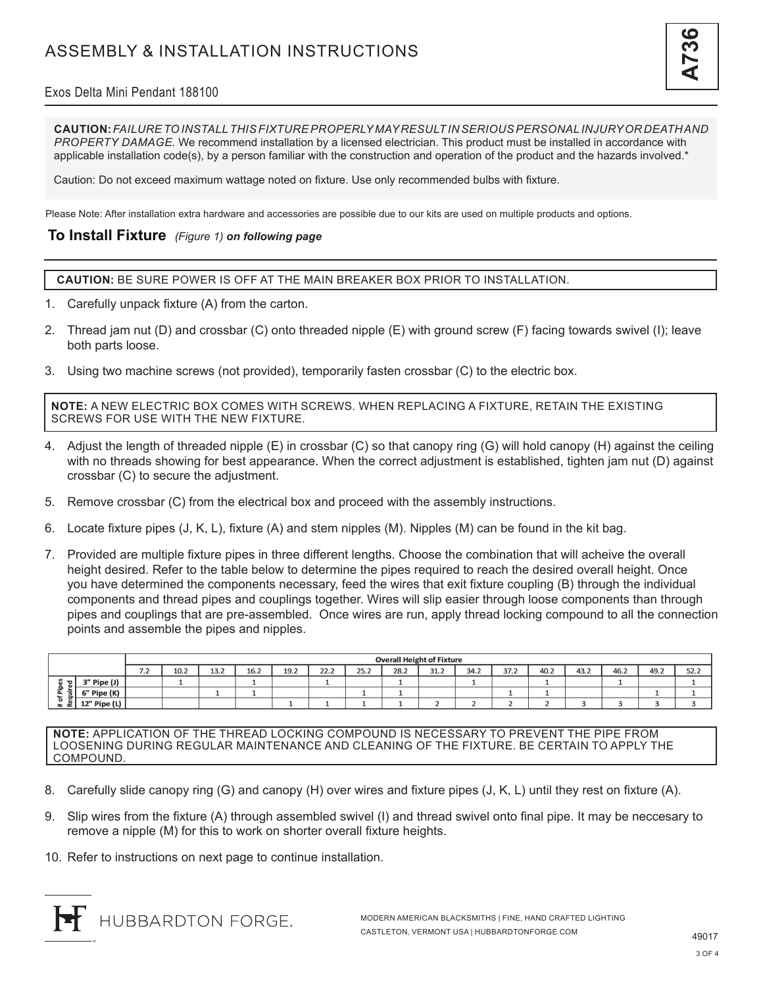# Exos Delta Mini Pendant 188100

**CAUTION:** *FAILURE TO INSTALL THIS FIXTURE PROPERLY MAY RESULT IN SERIOUS PERSONAL INJURY OR DEATH AND PROPERTY DAMAGE.* We recommend installation by a licensed electrician. This product must be installed in accordance with applicable installation code(s), by a person familiar with the construction and operation of the product and the hazards involved.\*

Caution: Do not exceed maximum wattage noted on fixture. Use only recommended bulbs with fixture.

Please Note: After installation extra hardware and accessories are possible due to our kits are used on multiple products and options.

#### **To Install Fixture** *(Figure 1) on following page*

**CAUTION:** BE SURE POWER IS OFF AT THE MAIN BREAKER BOX PRIOR TO INSTALLATION.

- 1. Carefully unpack fixture (A) from the carton.
- 2. Thread jam nut (D) and crossbar (C) onto threaded nipple (E) with ground screw (F) facing towards swivel (I); leave both parts loose.
- 3. Using two machine screws (not provided), temporarily fasten crossbar (C) to the electric box.

**NOTE:** A NEW ELECTRIC BOX COMES WITH SCREWS. WHEN REPLACING A FIXTURE, RETAIN THE EXISTING SCREWS FOR USE WITH THE NEW FIXTURE.

- 4. Adjust the length of threaded nipple (E) in crossbar (C) so that canopy ring (G) will hold canopy (H) against the ceiling with no threads showing for best appearance. When the correct adjustment is established, tighten jam nut (D) against crossbar (C) to secure the adjustment.
- 5. Remove crossbar (C) from the electrical box and proceed with the assembly instructions.
- 6. Locate fixture pipes (J, K, L), fixture (A) and stem nipples (M). Nipples (M) can be found in the kit bag.
- 7. Provided are multiple fixture pipes in three different lengths. Choose the combination that will acheive the overall height desired. Refer to the table below to determine the pipes required to reach the desired overall height. Once you have determined the components necessary, feed the wires that exit fixture coupling (B) through the individual components and thread pipes and couplings together. Wires will slip easier through loose components than through pipes and couplings that are pre-assembled. Once wires are run, apply thread locking compound to all the connection points and assemble the pipes and nipples.

|                                                                      |              | <b>Overall Height of Fixture</b> |      |      |      |      |      |      |      |      |          |      |      |      |      |      |      |
|----------------------------------------------------------------------|--------------|----------------------------------|------|------|------|------|------|------|------|------|----------|------|------|------|------|------|------|
|                                                                      |              | 7 <sub>2</sub><br>$\sqrt{2}$     | 10.2 | 13.2 | 16.2 | 19.2 | 22.2 | 25.2 | 28.2 | 31.2 | 34.2     | 37.2 | 40.2 | 43.2 | 46.2 | 49.2 | 52.2 |
| $\mathbf{\overline{u}}$<br>.는<br>≔<br>а.<br>$\sim$<br>$\pm$ $\alpha$ | " Pipe (J)   |                                  |      |      |      |      |      |      |      |      | <b>.</b> |      |      |      |      |      |      |
|                                                                      | 6" Pipe (K)  |                                  |      |      |      |      |      |      |      |      |          |      |      |      |      |      |      |
|                                                                      | 12" Pipe (L) |                                  |      |      |      |      |      |      |      |      |          |      |      |      |      |      |      |

**NOTE:** APPLICATION OF THE THREAD LOCKING COMPOUND IS NECESSARY TO PREVENT THE PIPE FROM LOOSENING DURING REGULAR MAINTENANCE AND CLEANING OF THE FIXTURE. BE CERTAIN TO APPLY THE COMPOUND.

- 8. Carefully slide canopy ring (G) and canopy (H) over wires and fixture pipes (J, K, L) until they rest on fixture (A).
- 9. Slip wires from the fixture (A) through assembled swivel (I) and thread swivel onto final pipe. It may be neccesary to remove a nipple (M) for this to work on shorter overall fixture heights.
- 10. Refer to instructions on next page to continue installation.